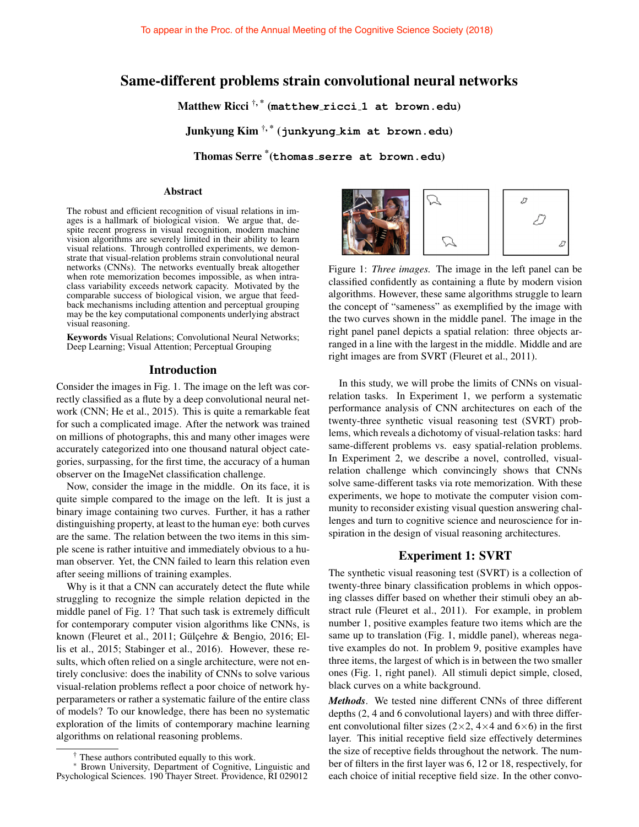## Same-different problems strain convolutional neural networks

Matthew Ricci †, \* (**matthew ricci 1 at brown.edu**)

Junkyung Kim †, \* (**junkyung kim at brown.edu**)

Thomas Serre \* (**thomas serre at brown.edu**)

#### Abstract

The robust and efficient recognition of visual relations in images is a hallmark of biological vision. We argue that, despite recent progress in visual recognition, modern machine vision algorithms are severely limited in their ability to learn visual relations. Through controlled experiments, we demonstrate that visual-relation problems strain convolutional neural networks (CNNs). The networks eventually break altogether when rote memorization becomes impossible, as when intraclass variability exceeds network capacity. Motivated by the comparable success of biological vision, we argue that feedback mechanisms including attention and perceptual grouping may be the key computational components underlying abstract visual reasoning.

Keywords Visual Relations; Convolutional Neural Networks; Deep Learning; Visual Attention; Perceptual Grouping

### Introduction

Consider the images in Fig. 1. The image on the left was correctly classified as a flute by a deep convolutional neural network (CNN; He et al., 2015). This is quite a remarkable feat for such a complicated image. After the network was trained on millions of photographs, this and many other images were accurately categorized into one thousand natural object categories, surpassing, for the first time, the accuracy of a human observer on the ImageNet classification challenge.

Now, consider the image in the middle. On its face, it is quite simple compared to the image on the left. It is just a binary image containing two curves. Further, it has a rather distinguishing property, at least to the human eye: both curves are the same. The relation between the two items in this simple scene is rather intuitive and immediately obvious to a human observer. Yet, the CNN failed to learn this relation even after seeing millions of training examples.

Why is it that a CNN can accurately detect the flute while struggling to recognize the simple relation depicted in the middle panel of Fig. 1? That such task is extremely difficult for contemporary computer vision algorithms like CNNs, is known (Fleuret et al., 2011; Gülçehre & Bengio, 2016; Ellis et al., 2015; Stabinger et al., 2016). However, these results, which often relied on a single architecture, were not entirely conclusive: does the inability of CNNs to solve various visual-relation problems reflect a poor choice of network hyperparameters or rather a systematic failure of the entire class of models? To our knowledge, there has been no systematic exploration of the limits of contemporary machine learning algorithms on relational reasoning problems.



Figure 1: *Three images.* The image in the left panel can be classified confidently as containing a flute by modern vision algorithms. However, these same algorithms struggle to learn the concept of "sameness" as exemplified by the image with the two curves shown in the middle panel. The image in the right panel panel depicts a spatial relation: three objects arranged in a line with the largest in the middle. Middle and are right images are from SVRT (Fleuret et al., 2011).

In this study, we will probe the limits of CNNs on visualrelation tasks. In Experiment 1, we perform a systematic performance analysis of CNN architectures on each of the twenty-three synthetic visual reasoning test (SVRT) problems, which reveals a dichotomy of visual-relation tasks: hard same-different problems vs. easy spatial-relation problems. In Experiment 2, we describe a novel, controlled, visualrelation challenge which convincingly shows that CNNs solve same-different tasks via rote memorization. With these experiments, we hope to motivate the computer vision community to reconsider existing visual question answering challenges and turn to cognitive science and neuroscience for inspiration in the design of visual reasoning architectures.

### Experiment 1: SVRT

The synthetic visual reasoning test (SVRT) is a collection of twenty-three binary classification problems in which opposing classes differ based on whether their stimuli obey an abstract rule (Fleuret et al., 2011). For example, in problem number 1, positive examples feature two items which are the same up to translation (Fig. 1, middle panel), whereas negative examples do not. In problem 9, positive examples have three items, the largest of which is in between the two smaller ones (Fig. 1, right panel). All stimuli depict simple, closed, black curves on a white background.

*Methods*. We tested nine different CNNs of three different depths (2, 4 and 6 convolutional layers) and with three different convolutional filter sizes ( $2\times 2$ ,  $4\times 4$  and  $6\times 6$ ) in the first layer. This initial receptive field size effectively determines the size of receptive fields throughout the network. The number of filters in the first layer was 6, 12 or 18, respectively, for each choice of initial receptive field size. In the other convo-

These authors contributed equally to this work.

Brown University, Department of Cognitive, Linguistic and Psychological Sciences. 190 Thayer Street. Providence, RI 029012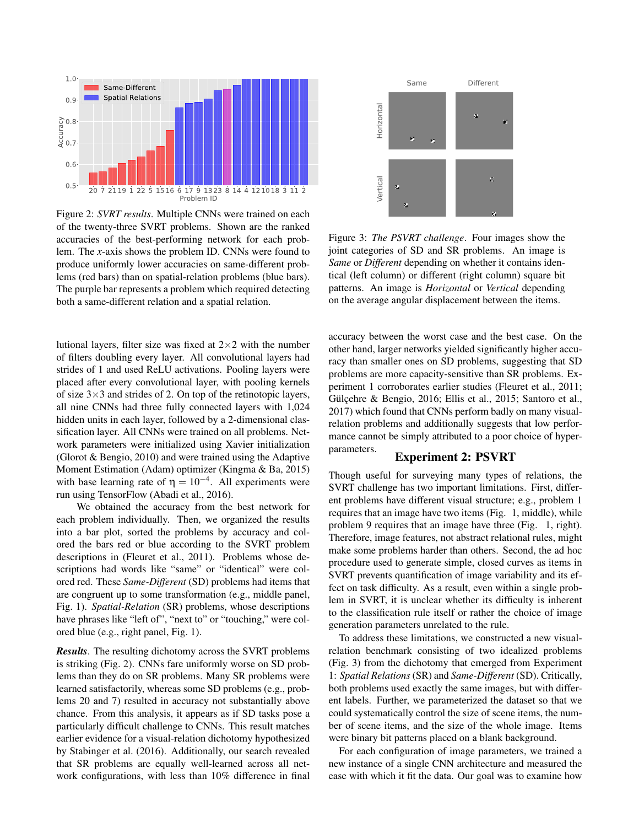

Figure 2: *SVRT results*. Multiple CNNs were trained on each of the twenty-three SVRT problems. Shown are the ranked accuracies of the best-performing network for each problem. The *x*-axis shows the problem ID. CNNs were found to produce uniformly lower accuracies on same-different problems (red bars) than on spatial-relation problems (blue bars). The purple bar represents a problem which required detecting both a same-different relation and a spatial relation.

lutional layers, filter size was fixed at  $2\times 2$  with the number of filters doubling every layer. All convolutional layers had strides of 1 and used ReLU activations. Pooling layers were placed after every convolutional layer, with pooling kernels of size  $3\times3$  and strides of 2. On top of the retinotopic layers, all nine CNNs had three fully connected layers with 1,024 hidden units in each layer, followed by a 2-dimensional classification layer. All CNNs were trained on all problems. Network parameters were initialized using Xavier initialization (Glorot & Bengio, 2010) and were trained using the Adaptive Moment Estimation (Adam) optimizer (Kingma & Ba, 2015) with base learning rate of  $\eta = 10^{-4}$ . All experiments were run using TensorFlow (Abadi et al., 2016).

We obtained the accuracy from the best network for each problem individually. Then, we organized the results into a bar plot, sorted the problems by accuracy and colored the bars red or blue according to the SVRT problem descriptions in (Fleuret et al., 2011). Problems whose descriptions had words like "same" or "identical" were colored red. These *Same-Different* (SD) problems had items that are congruent up to some transformation (e.g., middle panel, Fig. 1). *Spatial-Relation* (SR) problems, whose descriptions have phrases like "left of", "next to" or "touching," were colored blue (e.g., right panel, Fig. 1).

*Results*. The resulting dichotomy across the SVRT problems is striking (Fig. 2). CNNs fare uniformly worse on SD problems than they do on SR problems. Many SR problems were learned satisfactorily, whereas some SD problems (e.g., problems 20 and 7) resulted in accuracy not substantially above chance. From this analysis, it appears as if SD tasks pose a particularly difficult challenge to CNNs. This result matches earlier evidence for a visual-relation dichotomy hypothesized by Stabinger et al. (2016). Additionally, our search revealed that SR problems are equally well-learned across all network configurations, with less than 10% difference in final



Figure 3: *The PSVRT challenge*. Four images show the joint categories of SD and SR problems. An image is *Same* or *Different* depending on whether it contains identical (left column) or different (right column) square bit patterns. An image is *Horizontal* or *Vertical* depending on the average angular displacement between the items.

accuracy between the worst case and the best case. On the other hand, larger networks yielded significantly higher accuracy than smaller ones on SD problems, suggesting that SD problems are more capacity-sensitive than SR problems. Experiment 1 corroborates earlier studies (Fleuret et al., 2011; Gülçehre & Bengio, 2016; Ellis et al., 2015; Santoro et al., 2017) which found that CNNs perform badly on many visualrelation problems and additionally suggests that low performance cannot be simply attributed to a poor choice of hyperparameters.

#### Experiment 2: PSVRT

Though useful for surveying many types of relations, the SVRT challenge has two important limitations. First, different problems have different visual structure; e.g., problem 1 requires that an image have two items (Fig. 1, middle), while problem 9 requires that an image have three (Fig. 1, right). Therefore, image features, not abstract relational rules, might make some problems harder than others. Second, the ad hoc procedure used to generate simple, closed curves as items in SVRT prevents quantification of image variability and its effect on task difficulty. As a result, even within a single problem in SVRT, it is unclear whether its difficulty is inherent to the classification rule itself or rather the choice of image generation parameters unrelated to the rule.

To address these limitations, we constructed a new visualrelation benchmark consisting of two idealized problems (Fig. 3) from the dichotomy that emerged from Experiment 1: *Spatial Relations*(SR) and *Same-Different* (SD). Critically, both problems used exactly the same images, but with different labels. Further, we parameterized the dataset so that we could systematically control the size of scene items, the number of scene items, and the size of the whole image. Items were binary bit patterns placed on a blank background.

For each configuration of image parameters, we trained a new instance of a single CNN architecture and measured the ease with which it fit the data. Our goal was to examine how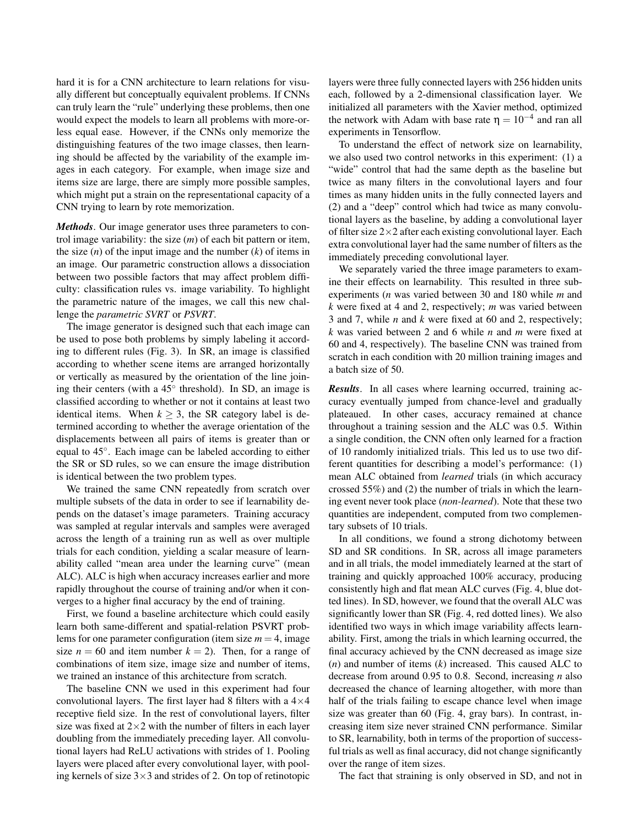hard it is for a CNN architecture to learn relations for visually different but conceptually equivalent problems. If CNNs can truly learn the "rule" underlying these problems, then one would expect the models to learn all problems with more-orless equal ease. However, if the CNNs only memorize the distinguishing features of the two image classes, then learning should be affected by the variability of the example images in each category. For example, when image size and items size are large, there are simply more possible samples, which might put a strain on the representational capacity of a CNN trying to learn by rote memorization.

*Methods*. Our image generator uses three parameters to control image variability: the size (*m*) of each bit pattern or item, the size  $(n)$  of the input image and the number  $(k)$  of items in an image. Our parametric construction allows a dissociation between two possible factors that may affect problem difficulty: classification rules vs. image variability. To highlight the parametric nature of the images, we call this new challenge the *parametric SVRT* or *PSVRT*.

The image generator is designed such that each image can be used to pose both problems by simply labeling it according to different rules (Fig. 3). In SR, an image is classified according to whether scene items are arranged horizontally or vertically as measured by the orientation of the line joining their centers (with a 45° threshold). In SD, an image is classified according to whether or not it contains at least two identical items. When  $k \geq 3$ , the SR category label is determined according to whether the average orientation of the displacements between all pairs of items is greater than or equal to 45°. Each image can be labeled according to either the SR or SD rules, so we can ensure the image distribution is identical between the two problem types.

We trained the same CNN repeatedly from scratch over multiple subsets of the data in order to see if learnability depends on the dataset's image parameters. Training accuracy was sampled at regular intervals and samples were averaged across the length of a training run as well as over multiple trials for each condition, yielding a scalar measure of learnability called "mean area under the learning curve" (mean ALC). ALC is high when accuracy increases earlier and more rapidly throughout the course of training and/or when it converges to a higher final accuracy by the end of training.

First, we found a baseline architecture which could easily learn both same-different and spatial-relation PSVRT problems for one parameter configuration (item size  $m = 4$ , image size  $n = 60$  and item number  $k = 2$ ). Then, for a range of combinations of item size, image size and number of items, we trained an instance of this architecture from scratch.

The baseline CNN we used in this experiment had four convolutional layers. The first layer had 8 filters with a  $4\times4$ receptive field size. In the rest of convolutional layers, filter size was fixed at  $2\times 2$  with the number of filters in each layer doubling from the immediately preceding layer. All convolutional layers had ReLU activations with strides of 1. Pooling layers were placed after every convolutional layer, with pooling kernels of size  $3\times 3$  and strides of 2. On top of retinotopic layers were three fully connected layers with 256 hidden units each, followed by a 2-dimensional classification layer. We initialized all parameters with the Xavier method, optimized the network with Adam with base rate  $\eta = 10^{-4}$  and ran all experiments in Tensorflow.

To understand the effect of network size on learnability, we also used two control networks in this experiment: (1) a "wide" control that had the same depth as the baseline but twice as many filters in the convolutional layers and four times as many hidden units in the fully connected layers and (2) and a "deep" control which had twice as many convolutional layers as the baseline, by adding a convolutional layer of filter size  $2\times 2$  after each existing convolutional layer. Each extra convolutional layer had the same number of filters as the immediately preceding convolutional layer.

We separately varied the three image parameters to examine their effects on learnability. This resulted in three subexperiments (*n* was varied between 30 and 180 while *m* and *k* were fixed at 4 and 2, respectively; *m* was varied between 3 and 7, while *n* and *k* were fixed at 60 and 2, respectively; *k* was varied between 2 and 6 while *n* and *m* were fixed at 60 and 4, respectively). The baseline CNN was trained from scratch in each condition with 20 million training images and a batch size of 50.

*Results*. In all cases where learning occurred, training accuracy eventually jumped from chance-level and gradually plateaued. In other cases, accuracy remained at chance throughout a training session and the ALC was 0.5. Within a single condition, the CNN often only learned for a fraction of 10 randomly initialized trials. This led us to use two different quantities for describing a model's performance: (1) mean ALC obtained from *learned* trials (in which accuracy crossed 55%) and (2) the number of trials in which the learning event never took place (*non-learned*). Note that these two quantities are independent, computed from two complementary subsets of 10 trials.

In all conditions, we found a strong dichotomy between SD and SR conditions. In SR, across all image parameters and in all trials, the model immediately learned at the start of training and quickly approached 100% accuracy, producing consistently high and flat mean ALC curves (Fig. 4, blue dotted lines). In SD, however, we found that the overall ALC was significantly lower than SR (Fig. 4, red dotted lines). We also identified two ways in which image variability affects learnability. First, among the trials in which learning occurred, the final accuracy achieved by the CNN decreased as image size (*n*) and number of items (*k*) increased. This caused ALC to decrease from around 0.95 to 0.8. Second, increasing *n* also decreased the chance of learning altogether, with more than half of the trials failing to escape chance level when image size was greater than 60 (Fig. 4, gray bars). In contrast, increasing item size never strained CNN performance. Similar to SR, learnability, both in terms of the proportion of successful trials as well as final accuracy, did not change significantly over the range of item sizes.

The fact that straining is only observed in SD, and not in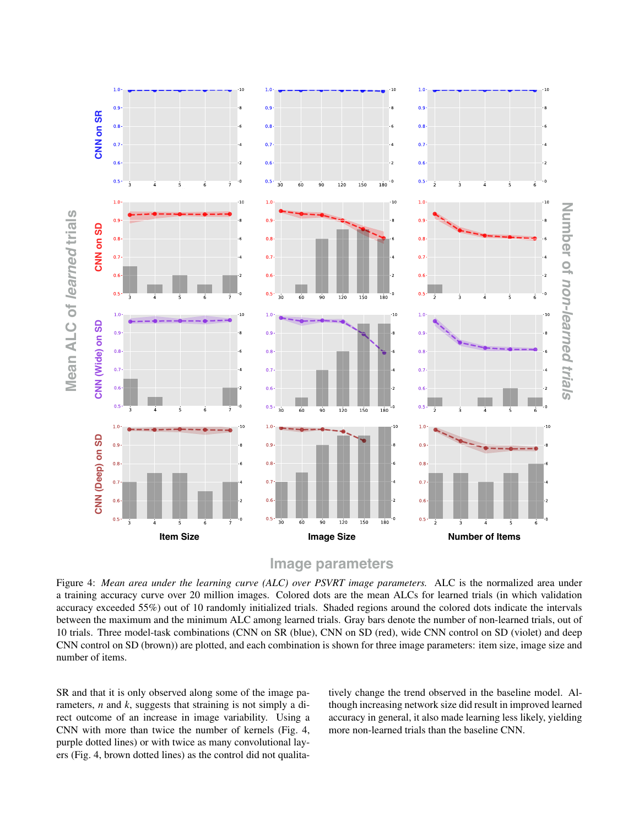

# **Image parameters**

Figure 4: *Mean area under the learning curve (ALC) over PSVRT image parameters.* ALC is the normalized area under a training accuracy curve over 20 million images. Colored dots are the mean ALCs for learned trials (in which validation accuracy exceeded 55%) out of 10 randomly initialized trials. Shaded regions around the colored dots indicate the intervals between the maximum and the minimum ALC among learned trials. Gray bars denote the number of non-learned trials, out of 10 trials. Three model-task combinations (CNN on SR (blue), CNN on SD (red), wide CNN control on SD (violet) and deep CNN control on SD (brown)) are plotted, and each combination is shown for three image parameters: item size, image size and number of items.

SR and that it is only observed along some of the image parameters, *n* and *k*, suggests that straining is not simply a direct outcome of an increase in image variability. Using a CNN with more than twice the number of kernels (Fig. 4, purple dotted lines) or with twice as many convolutional layers (Fig. 4, brown dotted lines) as the control did not qualitatively change the trend observed in the baseline model. Although increasing network size did result in improved learned accuracy in general, it also made learning less likely, yielding more non-learned trials than the baseline CNN.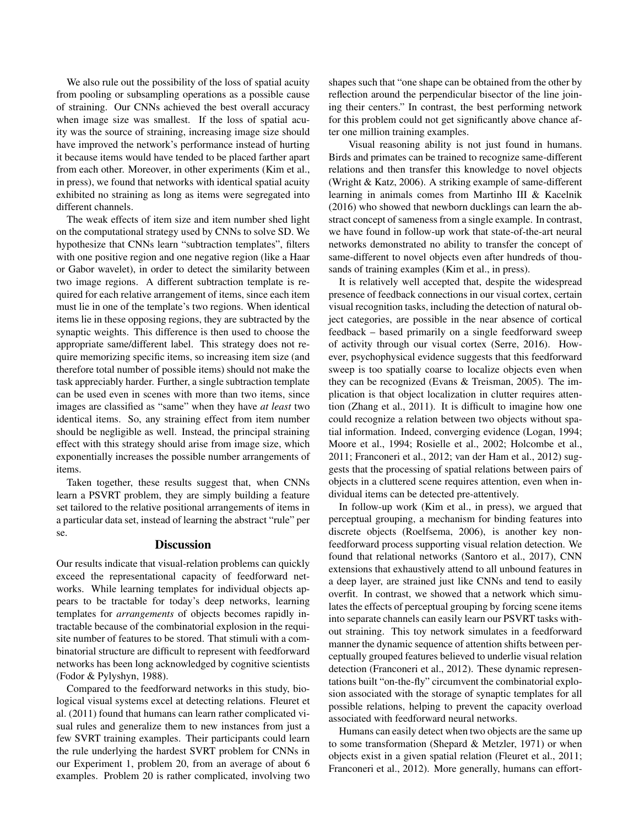We also rule out the possibility of the loss of spatial acuity from pooling or subsampling operations as a possible cause of straining. Our CNNs achieved the best overall accuracy when image size was smallest. If the loss of spatial acuity was the source of straining, increasing image size should have improved the network's performance instead of hurting it because items would have tended to be placed farther apart from each other. Moreover, in other experiments (Kim et al., in press), we found that networks with identical spatial acuity exhibited no straining as long as items were segregated into different channels.

The weak effects of item size and item number shed light on the computational strategy used by CNNs to solve SD. We hypothesize that CNNs learn "subtraction templates", filters with one positive region and one negative region (like a Haar or Gabor wavelet), in order to detect the similarity between two image regions. A different subtraction template is required for each relative arrangement of items, since each item must lie in one of the template's two regions. When identical items lie in these opposing regions, they are subtracted by the synaptic weights. This difference is then used to choose the appropriate same/different label. This strategy does not require memorizing specific items, so increasing item size (and therefore total number of possible items) should not make the task appreciably harder. Further, a single subtraction template can be used even in scenes with more than two items, since images are classified as "same" when they have *at least* two identical items. So, any straining effect from item number should be negligible as well. Instead, the principal straining effect with this strategy should arise from image size, which exponentially increases the possible number arrangements of items.

Taken together, these results suggest that, when CNNs learn a PSVRT problem, they are simply building a feature set tailored to the relative positional arrangements of items in a particular data set, instead of learning the abstract "rule" per se.

### **Discussion**

Our results indicate that visual-relation problems can quickly exceed the representational capacity of feedforward networks. While learning templates for individual objects appears to be tractable for today's deep networks, learning templates for *arrangements* of objects becomes rapidly intractable because of the combinatorial explosion in the requisite number of features to be stored. That stimuli with a combinatorial structure are difficult to represent with feedforward networks has been long acknowledged by cognitive scientists (Fodor & Pylyshyn, 1988).

Compared to the feedforward networks in this study, biological visual systems excel at detecting relations. Fleuret et al. (2011) found that humans can learn rather complicated visual rules and generalize them to new instances from just a few SVRT training examples. Their participants could learn the rule underlying the hardest SVRT problem for CNNs in our Experiment 1, problem 20, from an average of about 6 examples. Problem 20 is rather complicated, involving two shapes such that "one shape can be obtained from the other by reflection around the perpendicular bisector of the line joining their centers." In contrast, the best performing network for this problem could not get significantly above chance after one million training examples.

Visual reasoning ability is not just found in humans. Birds and primates can be trained to recognize same-different relations and then transfer this knowledge to novel objects (Wright & Katz, 2006). A striking example of same-different learning in animals comes from Martinho III & Kacelnik (2016) who showed that newborn ducklings can learn the abstract concept of sameness from a single example. In contrast, we have found in follow-up work that state-of-the-art neural networks demonstrated no ability to transfer the concept of same-different to novel objects even after hundreds of thousands of training examples (Kim et al., in press).

It is relatively well accepted that, despite the widespread presence of feedback connections in our visual cortex, certain visual recognition tasks, including the detection of natural object categories, are possible in the near absence of cortical feedback – based primarily on a single feedforward sweep of activity through our visual cortex (Serre, 2016). However, psychophysical evidence suggests that this feedforward sweep is too spatially coarse to localize objects even when they can be recognized (Evans & Treisman, 2005). The implication is that object localization in clutter requires attention (Zhang et al., 2011). It is difficult to imagine how one could recognize a relation between two objects without spatial information. Indeed, converging evidence (Logan, 1994; Moore et al., 1994; Rosielle et al., 2002; Holcombe et al., 2011; Franconeri et al., 2012; van der Ham et al., 2012) suggests that the processing of spatial relations between pairs of objects in a cluttered scene requires attention, even when individual items can be detected pre-attentively.

In follow-up work (Kim et al., in press), we argued that perceptual grouping, a mechanism for binding features into discrete objects (Roelfsema, 2006), is another key nonfeedforward process supporting visual relation detection. We found that relational networks (Santoro et al., 2017), CNN extensions that exhaustively attend to all unbound features in a deep layer, are strained just like CNNs and tend to easily overfit. In contrast, we showed that a network which simulates the effects of perceptual grouping by forcing scene items into separate channels can easily learn our PSVRT tasks without straining. This toy network simulates in a feedforward manner the dynamic sequence of attention shifts between perceptually grouped features believed to underlie visual relation detection (Franconeri et al., 2012). These dynamic representations built "on-the-fly" circumvent the combinatorial explosion associated with the storage of synaptic templates for all possible relations, helping to prevent the capacity overload associated with feedforward neural networks.

Humans can easily detect when two objects are the same up to some transformation (Shepard & Metzler, 1971) or when objects exist in a given spatial relation (Fleuret et al., 2011; Franconeri et al., 2012). More generally, humans can effort